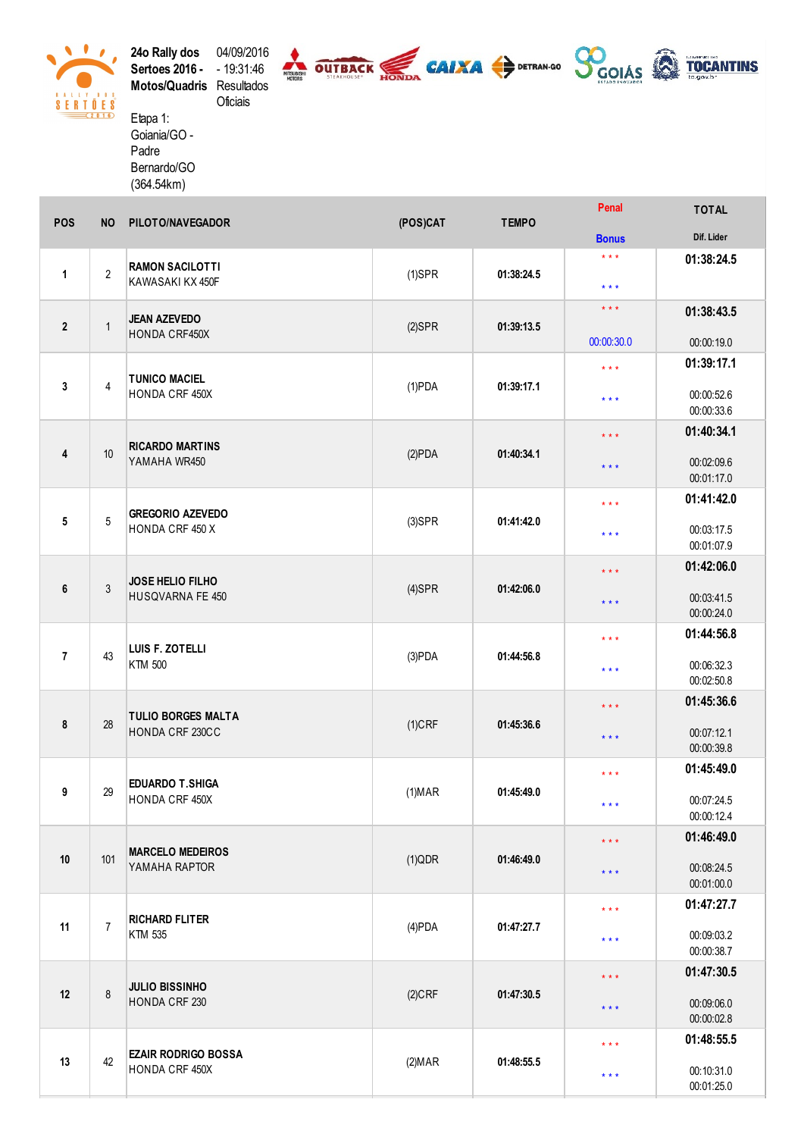

**24o Rally dos** 04/09/2016<br>**Sertoes 2016 -** 19:31:46<br>**Motos/Quadris** Resultados Oficiais Etapa 1:

Goiania/GO -Padre Bernardo/GO  $(364.54km)$ 

| POS            | <b>NO</b>      | PILOTO/NAVEGADOR                                | (POS)CAT             | <b>TEMPO</b> | <b>Penal</b>                                   | TOTAL                    |
|----------------|----------------|-------------------------------------------------|----------------------|--------------|------------------------------------------------|--------------------------|
|                |                |                                                 |                      |              | <b>Bonus</b>                                   | Dif. Lider               |
| $\mathbf{1}$   | $\overline{2}$ | <b>RAMON SACILOTTI</b><br>KAWASAKI KX 450F      | $(1)$ SPR            | 01:38:24.5   | $\star \star \star$<br>$\star$ $\star$ $\star$ | 01:38:24.5               |
| $\overline{2}$ | $\mathbf{1}$   | <b>JEAN AZEVEDO</b><br>HONDA CRF450X            | $(2)$ SPR            | 01:39:13.5   | $***$<br>00:00:30.0                            | 01:38:43.5<br>00:00:19.0 |
| 3              | $\overline{4}$ | <b>TUNICO MACIEL</b><br>HONDA CRF 450X          | $(1)$ PDA            | 01:39:17.1   | $***$<br>$***$                                 | 01:39:17.1<br>00:00:52.6 |
|                |                |                                                 |                      |              | $\star\star\star$                              | 00:00:33.6<br>01:40:34.1 |
| 4              | 10             | <b>RICARDO MARTINS</b><br>YAMAHA WR450          | (2)PDA               | 01:40:34.1   | $***$                                          | 00:02:09.6<br>00:01:17.0 |
|                |                |                                                 |                      |              | $\star$ $\star$ $\star$                        | 01:41:42.0               |
| ${\bf 5}$      | $5\,$          | <b>GREGORIO AZEVEDO</b><br>HONDA CRF 450 X      | $(3)$ SPR            | 01:41:42.0   | $\star$ $\star$ $\star$                        | 00:03:17.5<br>00:01:07.9 |
|                | $\mathfrak{Z}$ | JOSE HELIO FILHO<br>HUSQVARNA FE 450            | $(4)$ SPR            |              | $\star$ $\star$ $\star$                        | 01:42:06.0               |
| 6              |                |                                                 |                      | 01:42:06.0   | $***$                                          | 00:03:41.5<br>00:00:24.0 |
| $\overline{7}$ | 43             | LUIS F. ZOTELLI<br>KTM 500                      | (3)PDA<br>01:44:56.8 |              | $\star$ $\star$ $\star$                        | 01:44:56.8               |
|                |                |                                                 |                      |              | $\star \star \star$                            | 00:06:32.3<br>00:02:50.8 |
| 8              | 28             | <b>TULIO BORGES MALTA</b><br>HONDA CRF 230CC    | $(1)$ CRF            | 01:45:36.6   | $***$<br>$\star$ $\star$ $\star$               | 01:45:36.6<br>00:07:12.1 |
|                |                |                                                 |                      |              |                                                | 00:00:39.8               |
| 9              | 29             | <b>EDUARDO T.SHIGA</b><br>HONDA CRF 450X        | (1) <b>MAR</b>       | 01:45:49.0   | $***$<br>$\star$ $\star$ $\star$               | 01:45:49.0<br>00:07:24.5 |
|                |                |                                                 |                      |              |                                                | 00:00:12.4<br>01:46:49.0 |
|                |                | <b>MARCELO MEDEIROS</b><br>101<br>YAMAHA RAPTOR | (1)QDR               | 01:46:49.0   | $***$                                          |                          |
| $10$           |                |                                                 |                      |              | $***$                                          | 00:08:24.5<br>00:01:00.0 |
|                |                | <b>RICHARD FLITER</b><br>KTM 535                | $(4)$ PDA            | 01:47:27.7   | $***$                                          | 01:47:27.7               |
| 11             | $\overline{7}$ |                                                 |                      |              | $***$                                          | 00:09:03.2<br>00:00:38.7 |
|                | 8              | <b>JULIO BISSINHO</b><br>HONDA CRF 230          | $(2)$ CRF            | 01:47:30.5   | $***$                                          | 01:47:30.5               |
| 12             |                |                                                 |                      |              | $***$                                          | 00:09:06.0<br>00:00:02.8 |
|                |                |                                                 |                      |              | $***$                                          | 01:48:55.5               |
| 13             | 42             | <b>EZAIR RODRIGO BOSSA</b><br>HONDA CRF 450X    | (2) <b>MAR</b>       | 01:48:55.5   | $* * *$                                        | 00:10:31.0<br>00:01:25.0 |

**SUITBACK CAIXA** CAIXA OFFRAN-GO SOOIAS & TOCANTINS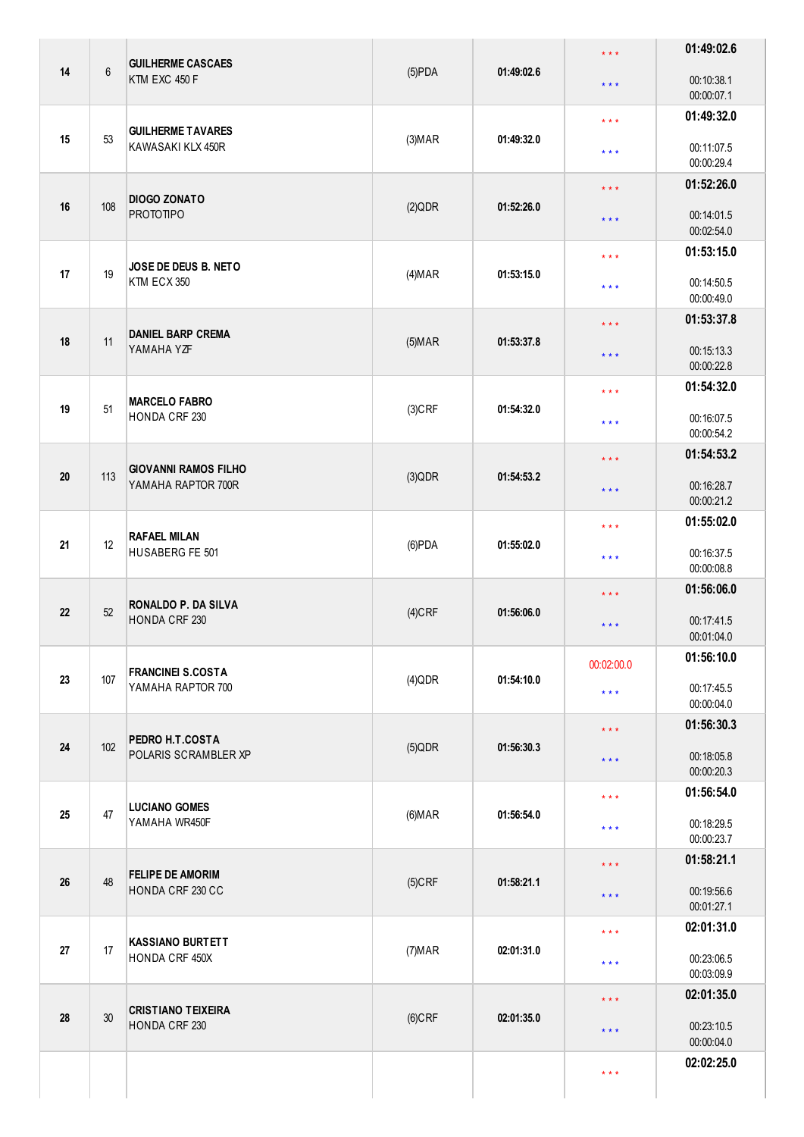| 14 | $6\phantom{a}$ | <b>GUILHERME CASCAES</b>                    | $(5)$ PDA      | 01:49:02.6                      | $\star$ $\star$ $\star$ | 01:49:02.6               |
|----|----------------|---------------------------------------------|----------------|---------------------------------|-------------------------|--------------------------|
|    |                | KTM EXC 450 F                               |                |                                 | $\star$ $\star$ $\star$ | 00:10:38.1<br>00:00:07.1 |
| 15 | 53             | <b>GUILHERME TAVARES</b>                    | (3) <b>MAP</b> | 01:49:32.0                      | $\star$ $\star$ $\star$ | 01:49:32.0               |
|    |                | KAWASAKI KLX 450R                           |                |                                 | $\star$ $\star$ $\star$ | 00:11:07.5<br>00:00:29.4 |
|    |                | <b>DIOGO ZONATO</b>                         |                |                                 | $***$                   | 01:52:26.0               |
| 16 | 108            | <b>PROTOTIPO</b>                            | (2)QDR         | 01:52:26.0                      | $\star$ $\star$ $\star$ | 00:14:01.5<br>00:02:54.0 |
| 17 | 19             | JOSE DE DEUS B. NETO                        |                |                                 | $\star$ $\star$ $\star$ | 01:53:15.0               |
|    |                | KTM ECX 350                                 | (4) <b>MAP</b> | 01:53:15.0                      | $\star$ $\star$ $\star$ | 00:14:50.5<br>00:00:49.0 |
| 18 | 11             | <b>DANIEL BARP CREMA</b>                    |                | 01:53:37.8                      | $\star$ $\star$ $\star$ | 01:53:37.8               |
|    |                | YAMAHA YZF                                  | $(5)$ MAR      |                                 | $***$                   | 00:15:13.3<br>00:00:22.8 |
|    |                | <b>MARCELO FABRO</b>                        |                |                                 | $\star$ $\star$ $\star$ | 01:54:32.0               |
| 19 | 51             | HONDA CRF 230                               | $(3)$ CRF      | 01:54:32.0                      | $\star$ $\star$ $\star$ | 00:16:07.5<br>00:00:54.2 |
|    |                | <b>GIOVANNI RAMOS FILHO</b>                 |                |                                 | $***$                   | 01:54:53.2               |
| 20 | 113            | YAMAHA RAPTOR 700R                          | $(3)$ QDR      | 01:54:53.2                      | $\star$ $\star$ $\star$ | 00:16:28.7<br>00:00:21.2 |
|    |                | <b>RAFAEL MILAN</b>                         |                |                                 | $\star$ $\star$ $\star$ | 01:55:02.0               |
| 21 | 12             | HUSABERG FE 501                             | $(6)$ PDA      | 01:55:02.0                      | $\star$ $\star$ $\star$ | 00:16:37.5<br>00:00:08.8 |
| 22 |                | <b>RONALDO P. DA SILVA</b>                  |                | $\star\star\star$<br>01:56:06.0 | 01:56:06.0              |                          |
|    | 52             | <b>HONDA CRF 230</b>                        | $(4)$ CRF      |                                 | $***$                   | 00:17:41.5<br>00:01:04.0 |
| 23 | 107            | <b>FRANCINEI S.COSTA</b>                    | $(4)$ QDR      | 01:54:10.0                      | 00:02:00.0              | 01:56:10.0               |
|    |                | YAMAHA RAPTOR 700                           |                |                                 | $\star$ $\star$ $\star$ | 00:17:45.5<br>00:00:04.0 |
| 24 | 102            | PEDRO H.T.COSTA                             |                |                                 | $\star$ $\star$ $\star$ | 01:56:30.3               |
|    |                | POLARIS SCRAMBLER XP                        | $(5)$ QDR      | 01:56:30.3                      | $\star$ $\star$ $\star$ | 00:18:05.8<br>00:00:20.3 |
|    |                | <b>LUCIANO GOMES</b>                        |                |                                 | $\star$ $\star$ $\star$ | 01:56:54.0               |
| 25 | 47             | YAMAHA WR450F                               | (6) <b>MAR</b> | 01:56:54.0                      | $\star$ $\star$ $\star$ | 00:18:29.5<br>00:00:23.7 |
|    | 48             | <b>FELIPE DE AMORIM</b><br>HONDA CRF 230 CC | $(5)$ CRF      | 01:58:21.1                      | $***$                   | 01:58:21.1               |
| 26 |                |                                             |                |                                 | $\star$ $\star$ $\star$ | 00:19:56.6<br>00:01:27.1 |
|    | 17             | <b>KASSIANO BURTETT</b><br>HONDA CRF 450X   | (7) <b>MAR</b> | 02:01:31.0                      | $\star$ $\star$ $\star$ | 02:01:31.0               |
| 27 |                |                                             |                |                                 | $\star$ $\star$ $\star$ | 00:23:06.5<br>00:03:09.9 |
|    |                | <b>CRISTIANO TEIXEIRA</b>                   |                |                                 | $\star$ $\star$ $\star$ | 02:01:35.0               |
| 28 | 30             | <b>HONDA CRF 230</b>                        | $(6)$ CRF      | 02:01:35.0                      | $***$                   | 00:23:10.5<br>00:00:04.0 |
|    |                |                                             |                |                                 | $\star$ $\star$ $\star$ | 02:02:25.0               |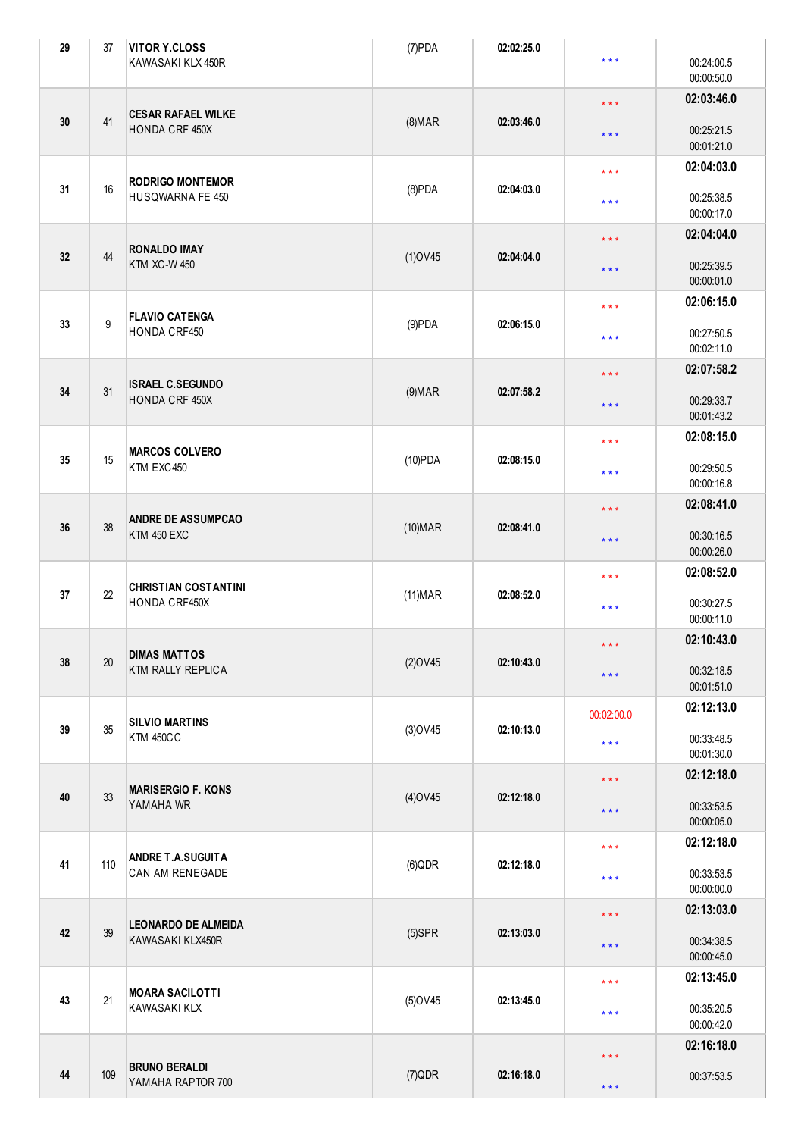| 29 | 37               | <b>VITOR Y.CLOSS</b><br>KAWASAKI KLX 450R       | $(7)$ PDA                | 02:02:25.0 | $***$                   | 00:24:00.5<br>00:00:50.0 |
|----|------------------|-------------------------------------------------|--------------------------|------------|-------------------------|--------------------------|
|    |                  | <b>CESAR RAFAEL WILKE</b>                       |                          |            | $***$                   | 02:03:46.0               |
| 30 | 41               | HONDA CRF 450X                                  | $(8)$ MAR                | 02:03:46.0 | $\star$ $\star$ $\star$ | 00:25:21.5<br>00:01:21.0 |
|    |                  | <b>RODRIGO MONTEMOR</b>                         |                          |            | $***$                   | 02:04:03.0               |
| 31 | 16               | HUSQWARNA FE 450                                | $(8)$ PDA                | 02:04:03.0 | $***$                   | 00:25:38.5<br>00:00:17.0 |
| 32 | 44               | <b>RONALDO IMAY</b>                             | $(1)$ OV45               | 02:04:04.0 | $***$                   | 02:04:04.0               |
|    |                  | <b>KTM XC-W 450</b>                             |                          |            | $***$                   | 00:25:39.5<br>00:00:01.0 |
| 33 | $\boldsymbol{9}$ | <b>FLAVIO CATENGA</b>                           | $(9)$ PDA                | 02:06:15.0 | $\star$ $\star$ $\star$ | 02:06:15.0               |
|    |                  | HONDA CRF450                                    |                          |            | $***$                   | 00:27:50.5<br>00:02:11.0 |
| 34 | 31               | <b>ISRAEL C.SEGUNDO</b>                         | $(9)$ MAR                | 02:07:58.2 | $\star$ $\star$ $\star$ | 02:07:58.2               |
|    |                  | HONDA CRF 450X                                  |                          |            | $***$                   | 00:29:33.7<br>00:01:43.2 |
| 35 | 15               | <b>MARCOS COLVERO</b>                           | $(10)$ PDA               | 02:08:15.0 | $***$                   | 02:08:15.0               |
|    |                  | KTM EXC450                                      |                          |            | $***$                   | 00:29:50.5<br>00:00:16.8 |
| 36 | 38               | <b>ANDRE DE ASSUMPCAO</b><br><b>KTM 450 EXC</b> | $(10)$ MAR<br>02:08:41.0 |            | $\star$ $\star$ $\star$ | 02:08:41.0               |
|    |                  |                                                 |                          |            | $***$                   | 00:30:16.5<br>00:00:26.0 |
| 37 | 22               | <b>CHRISTIAN COSTANTINI</b>                     | $(11)$ MAR               | 02:08:52.0 | $***$                   | 02:08:52.0               |
|    |                  | HONDA CRF450X                                   |                          |            | $***$                   | 00:30:27.5<br>00:00:11.0 |
| 38 | 20               | <b>DIMAS MATTOS</b>                             | $(2)$ OV45               | 02:10:43.0 | * * *                   | 02:10:43.0               |
|    |                  | KTM RALLY REPLICA                               |                          |            | $\star$ $\star$ $\star$ | 00:32:18.5<br>00:01:51.0 |
| 39 | 35               | <b>SILVIO MARTINS</b>                           | $(3)$ OV45               | 02:10:13.0 | 00:02:00.0              | 02:12:13.0               |
|    |                  | <b>KTM 450CC</b>                                |                          |            | $***$                   | 00:33:48.5<br>00:01:30.0 |
| 40 | 33               | <b>MARISERGIO F. KONS</b>                       | $(4)$ OV45               | 02:12:18.0 | $***$                   | 02:12:18.0               |
|    |                  | YAMAHA WR                                       |                          |            | $\star$ $\star$ $\star$ | 00:33:53.5<br>00:00:05.0 |
| 41 | 110              | <b>ANDRE T.A.SUGUITA</b>                        | (6)QDR                   | 02:12:18.0 | $\star$ $\star$ $\star$ | 02:12:18.0               |
|    |                  | <b>CAN AM RENEGADE</b>                          |                          |            | $\star$ $\star$ $\star$ | 00:33:53.5<br>00:00:00.0 |
| 42 | 39               | <b>LEONARDO DE ALMEIDA</b>                      | $(5)$ SPR                | 02:13:03.0 | $***$                   | 02:13:03.0               |
|    |                  | KAWASAKI KLX450R                                |                          |            | $\star$ $\star$ $\star$ | 00:34:38.5<br>00:00:45.0 |
| 43 | 21               | <b>MOARA SACILOTTI</b>                          | $(5)$ OV45               | 02:13:45.0 | $\star$ $\star$ $\star$ | 02:13:45.0               |
|    |                  | KAWASAKI KLX                                    |                          |            | $***$                   | 00:35:20.5<br>00:00:42.0 |
|    |                  | <b>BRUNO BERALDI</b>                            |                          |            | $\star$ $\star$ $\star$ | 02:16:18.0               |
| 44 | 109              | YAMAHA RAPTOR 700                               | $(7)$ QDR                | 02:16:18.0 | $\star$ $\star$ $\star$ | 00:37:53.5               |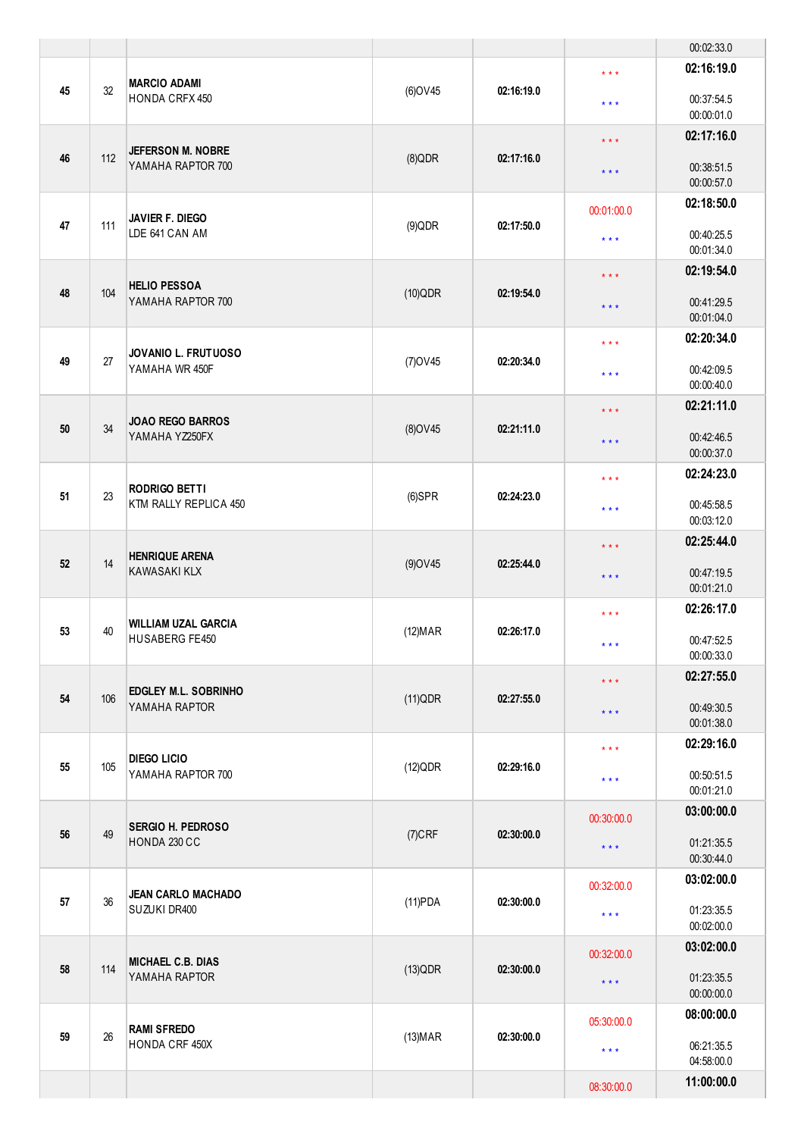|    |                                                |                                                  |                 |                         |                         | 00:02:33.0               |
|----|------------------------------------------------|--------------------------------------------------|-----------------|-------------------------|-------------------------|--------------------------|
| 45 | 32                                             | <b>MARCIO ADAMI</b><br>HONDA CRFX 450            | (6) OV45        | 02:16:19.0              | $***$                   | 02:16:19.0<br>00:37:54.5 |
|    |                                                |                                                  |                 |                         | $***$                   | 00:00:01.0               |
| 46 | 112                                            | <b>JEFERSON M. NOBRE</b>                         | $(8)$ QDR       | 02:17:16.0              | $\star \star \star$     | 02:17:16.0               |
|    |                                                | YAMAHA RAPTOR 700                                |                 |                         | $***$                   | 00:38:51.5<br>00:00:57.0 |
|    |                                                |                                                  |                 |                         | 00:01:00.0              | 02:18:50.0               |
| 47 | 111                                            | JAVIER F. DIEGO<br>LDE 641 CAN AM                | $(9)$ QDR       | 02:17:50.0              | $***$                   | 00:40:25.5<br>00:01:34.0 |
|    |                                                |                                                  |                 |                         | $\star\star\star$       | 02:19:54.0               |
| 48 | 104                                            | <b>HELIO PESSOA</b><br>YAMAHA RAPTOR 700         | (10)QDR         | 02:19:54.0              | $\star \star \star$     | 00:41:29.5<br>00:01:04.0 |
|    |                                                |                                                  |                 |                         | $***$                   | 02:20:34.0               |
| 49 | 27                                             | <b>JOVANIO L. FRUTUOSO</b><br>YAMAHA WR 450F     | $(7)$ OV45      | 02:20:34.0              | $\star$ $\star$ $\star$ | 00:42:09.5<br>00:00:40.0 |
|    |                                                |                                                  |                 |                         | $\star$ $\star$ $\star$ | 02:21:11.0               |
| 50 | 34                                             | <b>JOAO REGO BARROS</b><br>YAMAHA YZ250FX        | $(8)$ OV45      | 02:21:11.0              | $***$                   | 00:42:46.5               |
|    |                                                |                                                  |                 |                         |                         | 00:00:37.0<br>02:24:23.0 |
| 51 | 23                                             | <b>RODRIGO BETTI</b>                             | $(6)$ SPR       | 02:24:23.0              | $***$                   |                          |
|    |                                                | KTM RALLY REPLICA 450                            |                 |                         | $***$                   | 00:45:58.5<br>00:03:12.0 |
|    | 14                                             | <b>HENRIQUE ARENA</b><br><b>KAWASAKI KLX</b>     |                 |                         | $\star\star\star$       | 02:25:44.0               |
| 52 |                                                |                                                  | $(9)$ OV45      | 02:25:44.0              | $\star \star \star$     | 00:47:19.5               |
|    |                                                |                                                  |                 |                         |                         | 00:01:21.0               |
|    |                                                | <b>WILLIAM UZAL GARCIA</b>                       |                 | $\star$ $\star$ $\star$ | 02:26:17.0              |                          |
| 53 | 40                                             | HUSABERG FE450                                   | (12) <b>MAR</b> | 02:26:17.0              | * * *                   | 00:47:52.5               |
|    |                                                |                                                  |                 |                         |                         | 00:00:33.0               |
|    | 106                                            | <b>EDGLEY M.L. SOBRINHO</b>                      |                 |                         | $\star\star\star$       | 02:27:55.0               |
| 54 |                                                | YAMAHA RAPTOR                                    | (11)QDR         | 02:27:55.0              | $***$                   | 00:49:30.5               |
|    |                                                |                                                  |                 |                         |                         | 00:01:38.0<br>02:29:16.0 |
| 55 | 105                                            | <b>DIEGO LICIO</b>                               | (12)QDR         | 02:29:16.0              | $***$                   |                          |
|    |                                                | YAMAHA RAPTOR 700                                |                 |                         | $\star$ $\star$ $\star$ | 00:50:51.5<br>00:01:21.0 |
|    |                                                |                                                  |                 |                         | 00:30:00.0              | 03:00:00.0               |
| 56 | <b>SERGIO H. PEDROSO</b><br>49<br>HONDA 230 CC | $(7)$ CRF                                        | 02:30:00.0      | $***$                   | 01:21:35.5              |                          |
|    |                                                |                                                  |                 |                         |                         | 00:30:44.0               |
|    |                                                | <b>JEAN CARLO MACHADO</b>                        |                 |                         | 00:32:00.0              | 03:02:00.0               |
| 57 | 36                                             | SUZUKI DR400                                     | $(11)$ PDA      | 02:30:00.0              | $***$                   | 01:23:35.5               |
|    |                                                |                                                  |                 |                         |                         | 00:02:00.0               |
|    |                                                | <b>MICHAEL C.B. DIAS</b><br>114<br>YAMAHA RAPTOR | (13)QDR         | 02:30:00.0              | 00:32:00.0              | 03:02:00.0               |
| 58 |                                                |                                                  |                 |                         | $***$                   | 01:23:35.5<br>00:00:00.0 |
|    |                                                |                                                  |                 |                         | 05:30:00.0              | 08:00:00.0               |
| 59 | 26                                             | <b>RAMI SFREDO</b><br>HONDA CRF 450X             | $(13)$ MAR      | 02:30:00.0              | $\star$ $\star$ $\star$ | 06:21:35.5               |
|    |                                                |                                                  |                 |                         |                         | 04:58:00.0               |
|    |                                                |                                                  |                 |                         | 08:30:00.0              | 11:00:00.0               |